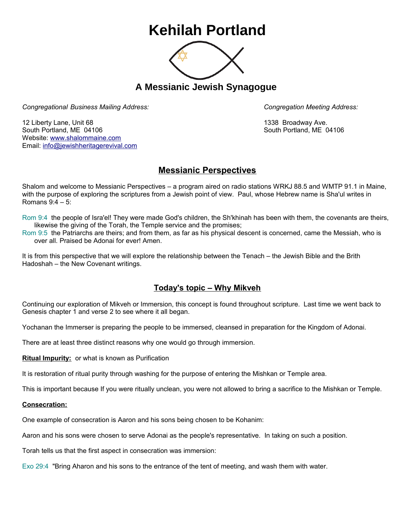# **Kehilah Portland**



**A Messianic Jewish Synagogue** 

*Congregational Business Mailing Address: Congregation Meeting Address:*

12 Liberty Lane, Unit 68 1338 Broadway Ave. South Portland, ME 04106 South Portland, ME 04106 Website: [www.shalommaine.com](http://www.shalommaine.com/) Email: [info@jewishheritagerevival.com](mailto:info@jewishheritagerevival.com) 

## **Messianic Perspectives**

Shalom and welcome to Messianic Perspectives – a program aired on radio stations WRKJ 88.5 and WMTP 91.1 in Maine, with the purpose of exploring the scriptures from a Jewish point of view. Paul, whose Hebrew name is Sha'ul writes in Romans 9:4 – 5:

Rom 9:4 the people of Isra'el! They were made God's children, the Sh'khinah has been with them, the covenants are theirs, likewise the giving of the Torah, the Temple service and the promises;

Rom 9:5 the Patriarchs are theirs; and from them, as far as his physical descent is concerned, came the Messiah, who is over all. Praised be Adonai for ever! Amen.

It is from this perspective that we will explore the relationship between the Tenach – the Jewish Bible and the Brith Hadoshah – the New Covenant writings.

## **Today's topic – Why Mikveh**

Continuing our exploration of Mikveh or Immersion, this concept is found throughout scripture. Last time we went back to Genesis chapter 1 and verse 2 to see where it all began.

Yochanan the Immerser is preparing the people to be immersed, cleansed in preparation for the Kingdom of Adonai.

There are at least three distinct reasons why one would go through immersion.

**Ritual Impurity:** or what is known as Purification

It is restoration of ritual purity through washing for the purpose of entering the Mishkan or Temple area.

This is important because If you were ritually unclean, you were not allowed to bring a sacrifice to the Mishkan or Temple.

### **Consecration:**

One example of consecration is Aaron and his sons being chosen to be Kohanim:

Aaron and his sons were chosen to serve Adonai as the people's representative. In taking on such a position.

Torah tells us that the first aspect in consecration was immersion:

Exo 29:4 "Bring Aharon and his sons to the entrance of the tent of meeting, and wash them with water.